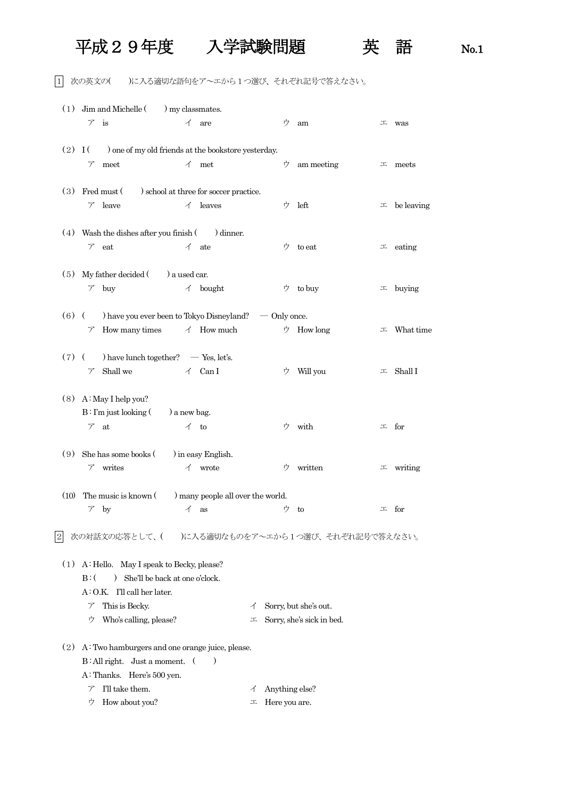## 平成29年度 入学試験問題 英 語 No.1

1 次の英文の( )に入る適切な語句をア~エから1つ選び、それぞれ記号で答えなさい。

|            | $(1)$ Jim and Michelle $($ ) my classmates.                         |                    |                                   |   |                |                           |             |                    |  |  |  |
|------------|---------------------------------------------------------------------|--------------------|-----------------------------------|---|----------------|---------------------------|-------------|--------------------|--|--|--|
|            | $\nabla$ is                                                         |                    | $\angle$ are                      |   | ゥ              | am                        |             | $\perp$ was        |  |  |  |
|            | $(2)$ I ( ) one of my old friends at the bookstore yesterday.       |                    |                                   |   |                |                           |             |                    |  |  |  |
|            | meet<br>$\mathcal{T}$                                               |                    | $\uparrow$ met                    |   | ゥ              | am meeting                |             | $\perp$ meets      |  |  |  |
|            | (3) Fred must (b) school at three for soccer practice.              |                    |                                   |   |                |                           |             |                    |  |  |  |
|            | $\nabla$ leave                                                      |                    | $\angle$ leaves                   |   | ウ              | left                      |             | $\perp$ be leaving |  |  |  |
|            | $(4)$ Wash the dishes after you finish $($ ) dinner.                |                    |                                   |   |                |                           |             |                    |  |  |  |
|            | $\nabla$ eat                                                        |                    | $\angle$ ate                      |   | ウ              | to eat                    |             | $\perp$ eating     |  |  |  |
|            | $(5)$ My father decided $($ a used car.                             |                    |                                   |   |                |                           |             |                    |  |  |  |
|            | $\mathcal{F}$ buy                                                   |                    | $\measuredangle$ bought           |   |                | ウ to buy                  |             | $\perp$ buying     |  |  |  |
|            | $(6)$ (b) have you ever been to Tokyo Disneyland? $\sim$ Only once. |                    |                                   |   |                |                           |             |                    |  |  |  |
|            | $\mathcal{F}$ How many times                                        |                    | $\triangleleft$ How much          |   |                | ウ How long                | 工           | What time          |  |  |  |
|            | $(7)$ ( ) have lunch together? $-$ Yes, let's.                      |                    |                                   |   |                |                           |             |                    |  |  |  |
|            | Shall we<br>$\mathcal{T}$                                           |                    | $\angle$ Can I                    |   | ウ              | Will you                  |             | $\perp$ Shall I    |  |  |  |
|            | $(8)$ A: May I help you?                                            |                    |                                   |   |                |                           |             |                    |  |  |  |
|            | $B: \Gamma m$ just looking $($ a new bag.                           |                    |                                   |   |                |                           |             |                    |  |  |  |
|            | $\nabla$ at                                                         | $\triangleleft$ to |                                   |   | ウ              | with                      | $\perp$ for |                    |  |  |  |
| (9)        | She has some books (                                                |                    | ) in easy English.                |   |                |                           |             |                    |  |  |  |
|            | writes<br>$\mathcal{T}$                                             | イ                  | wrote                             |   | ウ              | written                   |             | $\perp$ writing    |  |  |  |
| (10)       | The music is known (                                                |                    | ) many people all over the world. |   |                |                           |             |                    |  |  |  |
|            | $\mathcal{F}$ by                                                    | $\angle$ as        |                                   |   | ウ              | to                        |             | $\perp$ for        |  |  |  |
| $\sqrt{2}$ | 次の対話文の応答として、( )に入る適切なものをア~エから1つ選び、それぞれ記号で答えなさい。                     |                    |                                   |   |                |                           |             |                    |  |  |  |
| (1)        | A: Hello. May I speak to Becky, please?                             |                    |                                   |   |                |                           |             |                    |  |  |  |
|            | She'll be back at one o'clock.<br>$B:$ (<br>$\mathcal{L}$           |                    |                                   |   |                |                           |             |                    |  |  |  |
|            | $A: O.K.$ I'll call her later.                                      |                    |                                   |   |                |                           |             |                    |  |  |  |
|            | This is Becky.<br>ア                                                 |                    |                                   | イ |                | Sorry, but she's out.     |             |                    |  |  |  |
|            | Who's calling, please?<br>ウ                                         |                    |                                   | エ |                | Sorry, she's sick in bed. |             |                    |  |  |  |
| (2)        | A: Two hamburgers and one orange juice, please.                     |                    |                                   |   |                |                           |             |                    |  |  |  |
|            | $B: All right. Just a moment.$ (<br>$)$                             |                    |                                   |   |                |                           |             |                    |  |  |  |
|            | A: Thanks. Here's 500 yen.                                          |                    |                                   |   |                |                           |             |                    |  |  |  |
|            | I'll take them.<br>$\mathcal{T}$                                    |                    |                                   | イ | Anything else? |                           |             |                    |  |  |  |
|            | How about you?<br>ウ                                                 |                    |                                   | 工 | Here you are.  |                           |             |                    |  |  |  |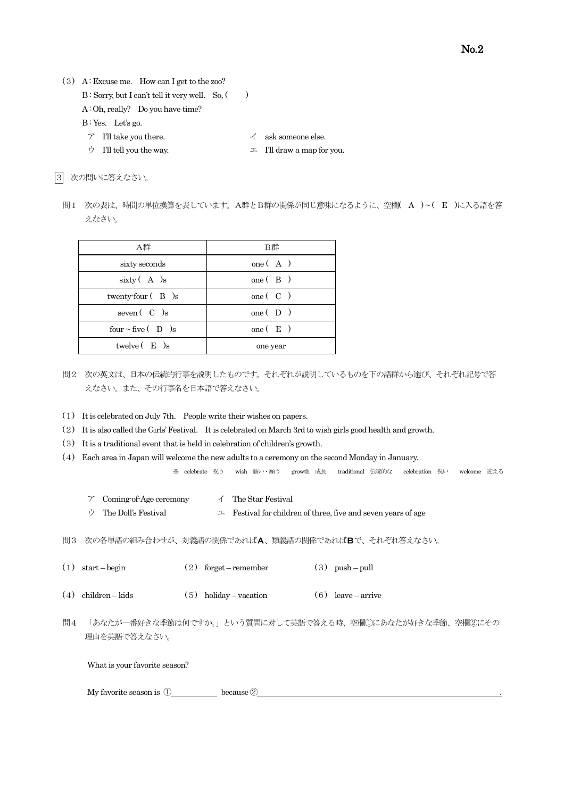- (3) A : Excuse me. How can I get to the zoo?  $B$ : Sorry, but I can't tell it very well. So,  $($ ) A: Oh, really? Do you have time?
	-
	- B: Yes. Let's go.
	- $\mathcal{T}$  I'll take you there.  $\mathcal{A}$  ask someone else.
	- ウ I'll tell you the way.  $\Box$  I'll draw a map for you.

|3| 次の問いに答えなさい。

問1 次の表は、時間の単位換算を表しています。A群とB群の関係が同じ意味になるように、空欄( A ) ~ ( E )に入る語を答 えなさい。

| A群                       | B群                                    |
|--------------------------|---------------------------------------|
| sixty seconds            | one $(A)$                             |
| $sixty$ $(A)$ s          | one $(B)$                             |
| twenty-four $(B)$ s      | one $\begin{pmatrix} C \end{pmatrix}$ |
| seven $(C)$ s            | one $(D)$                             |
| four $\sim$ five $(D)$ s | one $(E)$                             |
| twelve $(E)$ s           | one year                              |

- 問2 次の英文は、日本の伝統的行事を説明したものです。それぞれが説明しているものを下の語群から選び、それぞれ記号で答 えなさい。また、その行事名を日本語で答えなさい。
- (1) It is celebrated on July 7th. People write their wishes on papers.
- (2) It is also called the Girls' Festival. It is celebrated on March 3rd to wish girls good health and growth.
- (3) It is a traditional event that is held in celebration of children's growth.
- (4) Each area in Japan will welcome the new adults to a ceremony on the second Monday in January.

※ celebrate 祝う wish 願い・願う growth 成長 traditional 伝統的な celebration 祝い welcome 迎える

- $\mathcal T$  Coming-of-Age ceremony  $\mathcal A$  The Star Festival
- ウ The Doll's Festival  $\Box$  Festival for children of three, five and seven years of age

問3 次の各単語の組み合わせが、対義語の関係であればA、類義語の関係であればBで、それぞれ答えなさい。

- (1) start begin (2) forget remember (3) push pull
- (4) children kids (5) holiday vacation (6) leave arrive
- 問4 「あなたが一番好きな季節は何ですか。」という質問に対して英語で答える時、空欄①にあなたが好きな季節、空欄②にその 理由を英語で答えなさい。

What is your favorite season?

My favorite season is  $\overline{0}$  because  $\overline{2}$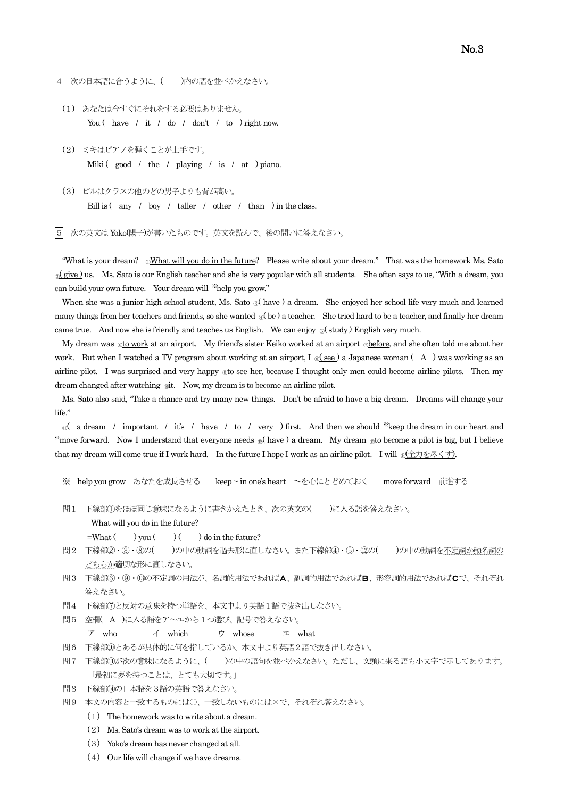|4| 次の日本語に合うように、( )内の語を並べかえなさい。

- (1) あなたは今すぐにそれをする必要はありません。 You ( have / it / do / don't / to ) right now.
- (2) ミキはピアノを弾くことが上手です。 Miki ( good / the / playing / is / at ) piano.
- (3) ビルはクラスの他のどの男子よりも背が高い。 Bill is  $\left( \begin{array}{cc} \text{any} & \text{/} & \text{boy} & \text{/} & \text{taller} & \text{/} & \text{other} & \text{/} & \text{than} & \text{)} \text{in the class.} \end{array} \right)$

5 次の英文はYoko(陽子)が書いたものです。英文を読んで、後の問いに答えなさい。

"What is your dream? 
UMhat is your dream? 
UMhat will you do in the future? Please write about your dream." That was the homework Ms. Sato *o*(give) us. Ms. Sato is our English teacher and she is very popular with all students. She often says to us, "With a dream, you can build your own future. Your dream will \*help you grow."

When she was a junior high school student, Ms. Sato ® (have ) a dream. She enjoyed her school life very much and learned many things from her teachers and friends, so she wanted  $\mathcal{A}(\mathbf{be})$  a teacher. She tried hard to be a teacher, and finally her dream came true. And now she is friendly and teaches us English. We can enjoy  $\circ$  study ) English very much.

My dream was <sub>©</sub>to work at an airport. My friend's sister Keiko worked at an airport <sub>©</sub>before, and she often told me about her work. But when I watched a TV program about working at an airport, I  $\mathcal{S}(\mathbf{see})$  a Japanese woman (A) was working as an airline pilot. I was surprised and very happy  $_{\circledR}$  to see her, because I thought only men could become airline pilots. Then my dream changed after watching  $\omega$ it. Now, my dream is to become an airline pilot.

 Ms. Sato also said, "Take a chance and try many new things. Don't be afraid to have a big dream. Dreams will change your life."

<sub>o</sub> a dream / important / it's / have / to / very ) first. And then we should \*keep the dream in our heart and \*move forward. Now I understand that everyone needs <u>Q(have)</u> a dream. My dream <sub>Q1</sub> to become a pilot is big, but I believe that my dream will come true if I work hard. In the future I hope I work as an airline pilot. I will  $\frac{1}{10}$ (全力を尽くす).

- ※ help you grow あなたを成長させる keep ~ in one's heart ~を心にとどめておく move forward 前進する
- 問1 下線部①をほぼ同じ意味になるように書きかえたとき、次の英文の()に入る語を答えなさい。

What will you do in the future?

 $=$ What  $($  ) you  $($   $)$   $($   $)$  do in the future?

- 問2 下線部②・③・⑧の()の中の動詞を過去形に直しなさい。また下線部④・⑤・⑫の()の中の動詞を不定詞か動名詞の どちらか適切な形に直しなさい。
- 問3 下線部⑥・⑨・⑬の不定詞の用法が、名詞的用法であればA、副詞的用法であればB、形容詞的用法であればCで、それぞれ 答えなさい。
- 問4 下線部⑦と反対の意味を持つ単語を、本文中より英語1語で抜き出しなさい。
- 問5 空欄( A )に入る語をア~エから1つ選び、記号で答えなさい。
	- ア who  $\uparrow$  which ウ whose エ what
- 問6 下線部⑩とあるが具体的に何を指しているか、本文中より英語2語で抜き出しなさい。
- 問7 下線部⑪が次の意味になるように、( )の中の語句を並べかえなさい。ただし、文頭に来る語も小文字で示してあります。 「最初に夢を持つことは、とても大切です。」
- 問8 下線部⑭の日本語を3語の英語で答えなさい。
- 問9 本文の内容と一致するものには○、一致しないものには×で、それぞれ答えなさい。
	- (1) The homework was to write about a dream.
	- (2) Ms. Sato's dream was to work at the airport.
	- (3) Yoko's dream has never changed at all.
	- (4) Our life will change if we have dreams.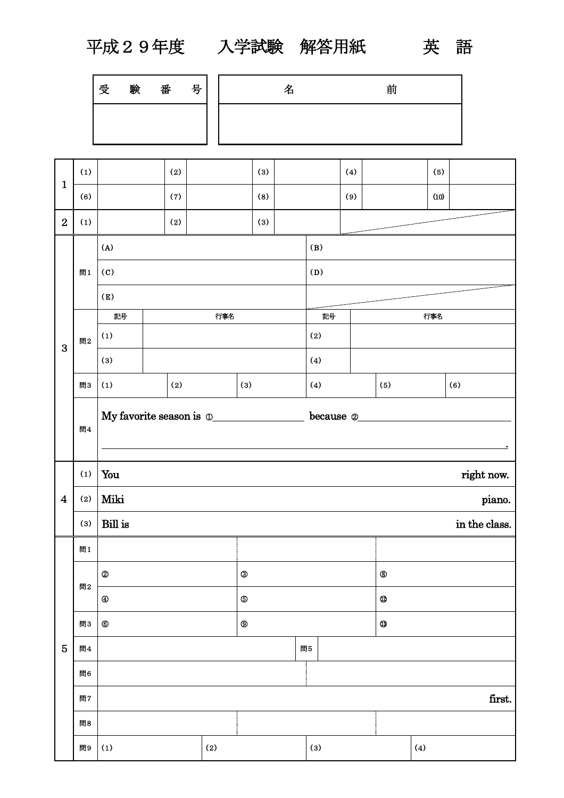$\mathbf{r}$ 

平成29年度 入学試験 解答用紙 英 語

| 受 | 臣会 | 番 | 号 |
|---|----|---|---|
|   |    |   |   |

| 名 | 前 |
|---|---|
|   |   |

| $\mathbf{1}$            | (1) |                            | (2) |                         |              | (3) |     | (4) |                                                                                                                                                                                                                                                                                                                                                                                                                                               | (5)  |               |
|-------------------------|-----|----------------------------|-----|-------------------------|--------------|-----|-----|-----|-----------------------------------------------------------------------------------------------------------------------------------------------------------------------------------------------------------------------------------------------------------------------------------------------------------------------------------------------------------------------------------------------------------------------------------------------|------|---------------|
|                         | (6) |                            | (7) |                         |              | (8) |     | (9) |                                                                                                                                                                                                                                                                                                                                                                                                                                               | (10) |               |
| $\overline{2}$          | (1) |                            | (2) |                         |              | (3) |     |     |                                                                                                                                                                                                                                                                                                                                                                                                                                               |      |               |
|                         |     | (A)                        |     |                         |              |     | (B) |     |                                                                                                                                                                                                                                                                                                                                                                                                                                               |      |               |
|                         | 問1  | $\left( \mathrm{C}\right)$ |     |                         |              |     | (D) |     |                                                                                                                                                                                                                                                                                                                                                                                                                                               |      |               |
|                         |     | (E)                        |     |                         |              |     |     |     |                                                                                                                                                                                                                                                                                                                                                                                                                                               |      |               |
|                         |     | 記号                         |     | 行事名                     |              |     | 記号  |     | 行事名                                                                                                                                                                                                                                                                                                                                                                                                                                           |      |               |
| 3                       | 問2  | (1)                        |     |                         |              |     | (2) |     |                                                                                                                                                                                                                                                                                                                                                                                                                                               |      |               |
|                         |     | (3)                        |     |                         |              |     | (4) |     |                                                                                                                                                                                                                                                                                                                                                                                                                                               |      |               |
|                         | 問3  | (1)                        | (2) |                         | (3)          |     | (4) |     | (5)                                                                                                                                                                                                                                                                                                                                                                                                                                           |      | (6)           |
|                         | 問4  |                            |     | My favorite season is 0 |              |     |     |     | $\begin{minipage}[c]{0.5\textwidth} \centering \begin{tabular}{ c c c } \hline \textbf{because} & \textbf{0} & \textbf{0} & \textbf{0} & \textbf{0} & \textbf{0} & \textbf{0} & \textbf{0} & \textbf{0} & \textbf{0} & \textbf{0} & \textbf{0} & \textbf{0} & \textbf{0} & \textbf{0} & \textbf{0} & \textbf{0} & \textbf{0} & \textbf{0} & \textbf{0} & \textbf{0} & \textbf{0} & \textbf{0} & \textbf{0} & \textbf{0} & \textbf{0} & \text$ |      |               |
|                         |     | You<br>right now.          |     |                         |              |     |     |     |                                                                                                                                                                                                                                                                                                                                                                                                                                               |      |               |
|                         | (1) |                            |     |                         |              |     |     |     |                                                                                                                                                                                                                                                                                                                                                                                                                                               |      |               |
| $\overline{\mathbf{4}}$ | (2) | Miki                       |     |                         |              |     |     |     |                                                                                                                                                                                                                                                                                                                                                                                                                                               |      | piano.        |
|                         | (3) | Bill is                    |     |                         |              |     |     |     |                                                                                                                                                                                                                                                                                                                                                                                                                                               |      | in the class. |
|                         | 問1  |                            |     |                         |              |     |     |     |                                                                                                                                                                                                                                                                                                                                                                                                                                               |      |               |
|                         |     | $\circledR$                |     |                         | $\circledS$  |     |     |     | $^\circledR$                                                                                                                                                                                                                                                                                                                                                                                                                                  |      |               |
|                         | 問2  | $^{\circledR}$             |     |                         | $\circledS$  |     |     |     | $^{\circledR}$                                                                                                                                                                                                                                                                                                                                                                                                                                |      |               |
|                         | 問3  | $^{\circ}$                 |     |                         | $^\circledR$ |     |     |     | $\circledR$                                                                                                                                                                                                                                                                                                                                                                                                                                   |      |               |
| $\overline{5}$          | 問4  |                            |     |                         |              |     | 問5  |     |                                                                                                                                                                                                                                                                                                                                                                                                                                               |      |               |
|                         | 問6  |                            |     |                         |              |     |     |     |                                                                                                                                                                                                                                                                                                                                                                                                                                               |      |               |
|                         | 問7  |                            |     |                         |              |     |     |     |                                                                                                                                                                                                                                                                                                                                                                                                                                               |      | first.        |
|                         | 問8  |                            |     |                         |              |     |     |     |                                                                                                                                                                                                                                                                                                                                                                                                                                               |      |               |